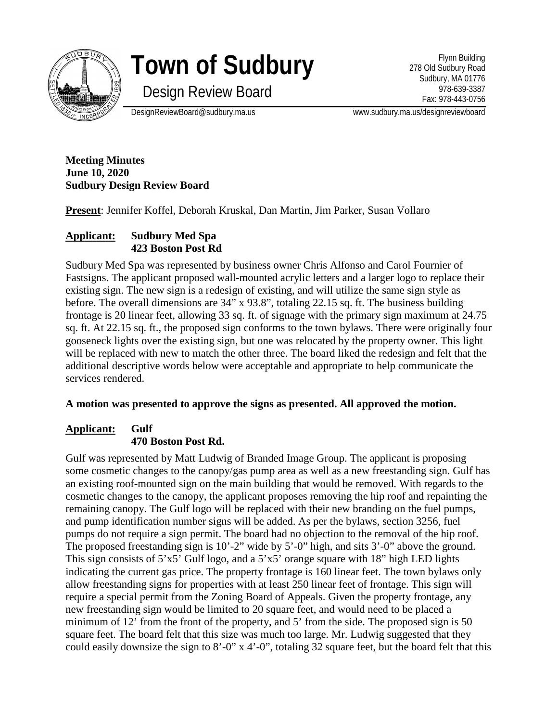

# **Town of Sudbury**

Flynn Building 278 Old Sudbury Road Sudbury, MA 01776 978-639-3387 Fax: 978-443-0756

Design Review Board

DesignReviewBoard@sudbury.ma.us www.sudbury.ma.us/designreviewboard

**Meeting Minutes June 10, 2020 Sudbury Design Review Board**

**Present**: Jennifer Koffel, Deborah Kruskal, Dan Martin, Jim Parker, Susan Vollaro

# **Applicant: Sudbury Med Spa 423 Boston Post Rd**

Sudbury Med Spa was represented by business owner Chris Alfonso and Carol Fournier of Fastsigns. The applicant proposed wall-mounted acrylic letters and a larger logo to replace their existing sign. The new sign is a redesign of existing, and will utilize the same sign style as before. The overall dimensions are 34" x 93.8", totaling 22.15 sq. ft. The business building frontage is 20 linear feet, allowing 33 sq. ft. of signage with the primary sign maximum at 24.75 sq. ft. At 22.15 sq. ft., the proposed sign conforms to the town bylaws. There were originally four gooseneck lights over the existing sign, but one was relocated by the property owner. This light will be replaced with new to match the other three. The board liked the redesign and felt that the additional descriptive words below were acceptable and appropriate to help communicate the services rendered.

## **A motion was presented to approve the signs as presented. All approved the motion.**

# **Applicant: Gulf 470 Boston Post Rd.**

Gulf was represented by Matt Ludwig of Branded Image Group. The applicant is proposing some cosmetic changes to the canopy/gas pump area as well as a new freestanding sign. Gulf has an existing roof-mounted sign on the main building that would be removed. With regards to the cosmetic changes to the canopy, the applicant proposes removing the hip roof and repainting the remaining canopy. The Gulf logo will be replaced with their new branding on the fuel pumps, and pump identification number signs will be added. As per the bylaws, section 3256, fuel pumps do not require a sign permit. The board had no objection to the removal of the hip roof. The proposed freestanding sign is 10'-2" wide by 5'-0" high, and sits 3'-0" above the ground. This sign consists of 5'x5' Gulf logo, and a 5'x5' orange square with 18" high LED lights indicating the current gas price. The property frontage is 160 linear feet. The town bylaws only allow freestanding signs for properties with at least 250 linear feet of frontage. This sign will require a special permit from the Zoning Board of Appeals. Given the property frontage, any new freestanding sign would be limited to 20 square feet, and would need to be placed a minimum of 12' from the front of the property, and 5' from the side. The proposed sign is 50 square feet. The board felt that this size was much too large. Mr. Ludwig suggested that they could easily downsize the sign to 8'-0" x 4'-0", totaling 32 square feet, but the board felt that this